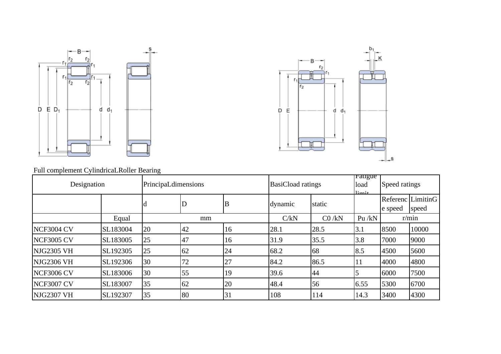



Full complement CylindricaLRoller Bearing

| Designation       |          | PrincipaLdimensions |             |    | <b>BasiCload ratings</b> |         | raugue<br>load<br>$lim_{i \to \infty}$ | Speed ratings |                            |
|-------------------|----------|---------------------|-------------|----|--------------------------|---------|----------------------------------------|---------------|----------------------------|
|                   |          | <b>a</b>            | $\mathbf D$ | B  | dynamic                  | static  |                                        | le speed      | Referenc LimitinG<br>speed |
|                   | Equal    |                     | mm          |    | C/kN                     | CO / kN | Pu $/kN$                               |               | r/min                      |
| <b>NCF3004 CV</b> | SL183004 | 20                  | 42          | 16 | 28.1                     | 28.5    | 3.1                                    | 8500          | 10000                      |
| <b>NCF3005 CV</b> | SL183005 | 25                  | 47          | 16 | 31.9                     | 35.5    | 3.8                                    | 7000          | 9000                       |
| NJG2305 VH        | SL192305 | 25                  | 62          | 24 | 68.2                     | 68      | 8.5                                    | 4500          | 5600                       |
| <b>NJG2306 VH</b> | SL192306 | 30                  | 72          | 27 | 84.2                     | 86.5    | 11                                     | 4000          | 4800                       |
| <b>NCF3006 CV</b> | SL183006 | 30                  | 55          | 19 | 39.6                     | 44      |                                        | 6000          | 7500                       |
| <b>NCF3007 CV</b> | SL183007 | 35                  | 62          | 20 | 48.4                     | 56      | 6.55                                   | 5300          | 6700                       |
| <b>NJG2307 VH</b> | SL192307 | 35                  | 80          | 31 | 108                      | 114     | 14.3                                   | 3400          | 4300                       |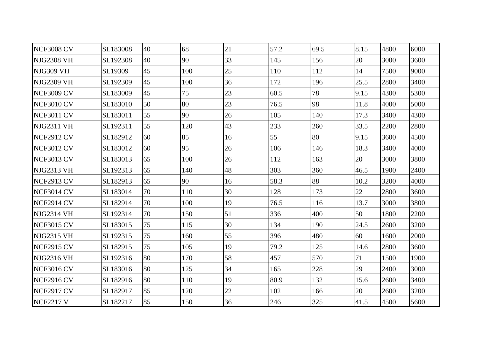| <b>NCF3008 CV</b> | SL183008 | 40 | 68  | 21     | 57.2 | 69.5 | 8.15 | 4800 | 6000 |
|-------------------|----------|----|-----|--------|------|------|------|------|------|
| NJG2308 VH        | SL192308 | 40 | 90  | 33     | 145  | 156  | 20   | 3000 | 3600 |
| NJG309 VH         | SL19309  | 45 | 100 | 25     | 110  | 112  | 14   | 7500 | 9000 |
| NJG2309 VH        | SL192309 | 45 | 100 | 36     | 172  | 196  | 25.5 | 2800 | 3400 |
| <b>NCF3009 CV</b> | SL183009 | 45 | 75  | 23     | 60.5 | 78   | 9.15 | 4300 | 5300 |
| <b>NCF3010 CV</b> | SL183010 | 50 | 80  | 23     | 76.5 | 98   | 11.8 | 4000 | 5000 |
| NCF3011 CV        | SL183011 | 55 | 90  | 26     | 105  | 140  | 17.3 | 3400 | 4300 |
| <b>NJG2311 VH</b> | SL192311 | 55 | 120 | 43     | 233  | 260  | 33.5 | 2200 | 2800 |
| NCF2912 CV        | SL182912 | 60 | 85  | 16     | 55   | 80   | 9.15 | 3600 | 4500 |
| <b>NCF3012 CV</b> | SL183012 | 60 | 95  | 26     | 106  | 146  | 18.3 | 3400 | 4000 |
| NCF3013 CV        | SL183013 | 65 | 100 | 26     | 112  | 163  | 20   | 3000 | 3800 |
| NJG2313 VH        | SL192313 | 65 | 140 | 48     | 303  | 360  | 46.5 | 1900 | 2400 |
| <b>NCF2913 CV</b> | SL182913 | 65 | 90  | 16     | 58.3 | 88   | 10.2 | 3200 | 4000 |
| NCF3014 CV        | SL183014 | 70 | 110 | 30     | 128  | 173  | 22   | 2800 | 3600 |
| NCF2914 CV        | SL182914 | 70 | 100 | 19     | 76.5 | 116  | 13.7 | 3000 | 3800 |
| NJG2314 VH        | SL192314 | 70 | 150 | 51     | 336  | 400  | 50   | 1800 | 2200 |
| <b>NCF3015 CV</b> | SL183015 | 75 | 115 | 30     | 134  | 190  | 24.5 | 2600 | 3200 |
| <b>NJG2315 VH</b> | SL192315 | 75 | 160 | 55     | 396  | 480  | 60   | 1600 | 2000 |
| NCF2915 CV        | SL182915 | 75 | 105 | 19     | 79.2 | 125  | 14.6 | 2800 | 3600 |
| NJG2316 VH        | SL192316 | 80 | 170 | 58     | 457  | 570  | 71   | 1500 | 1900 |
| <b>NCF3016 CV</b> | SL183016 | 80 | 125 | 34     | 165  | 228  | 29   | 2400 | 3000 |
| NCF2916 CV        | SL182916 | 80 | 110 | 19     | 80.9 | 132  | 15.6 | 2600 | 3400 |
| <b>NCF2917 CV</b> | SL182917 | 85 | 120 | $22\,$ | 102  | 166  | 20   | 2600 | 3200 |
| <b>NCF2217 V</b>  | SL182217 | 85 | 150 | 36     | 246  | 325  | 41.5 | 4500 | 5600 |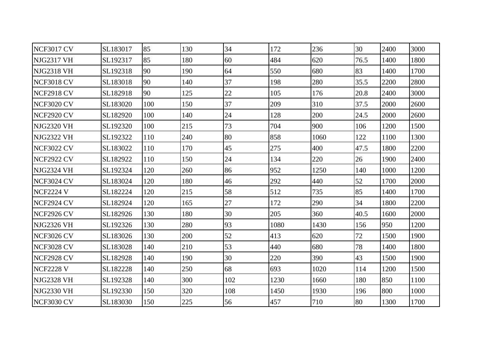| NCF3017 CV        | SL183017 | 85  | 130 | 34  | 172  | 236  | 30   | 2400 | 3000 |
|-------------------|----------|-----|-----|-----|------|------|------|------|------|
| NJG2317 VH        | SL192317 | 85  | 180 | 60  | 484  | 620  | 76.5 | 1400 | 1800 |
| NJG2318 VH        | SL192318 | 90  | 190 | 64  | 550  | 680  | 83   | 1400 | 1700 |
| NCF3018 CV        | SL183018 | 90  | 140 | 37  | 198  | 280  | 35.5 | 2200 | 2800 |
| NCF2918 CV        | SL182918 | 90  | 125 | 22  | 105  | 176  | 20.8 | 2400 | 3000 |
| <b>NCF3020 CV</b> | SL183020 | 100 | 150 | 37  | 209  | 310  | 37.5 | 2000 | 2600 |
| <b>NCF2920 CV</b> | SL182920 | 100 | 140 | 24  | 128  | 200  | 24.5 | 2000 | 2600 |
| NJG2320 VH        | SL192320 | 100 | 215 | 73  | 704  | 900  | 106  | 1200 | 1500 |
| NJG2322 VH        | SL192322 | 110 | 240 | 80  | 858  | 1060 | 122  | 1100 | 1300 |
| <b>NCF3022 CV</b> | SL183022 | 110 | 170 | 45  | 275  | 400  | 47.5 | 1800 | 2200 |
| NCF2922 CV        | SL182922 | 110 | 150 | 24  | 134  | 220  | 26   | 1900 | 2400 |
| NJG2324 VH        | SL192324 | 120 | 260 | 86  | 952  | 1250 | 140  | 1000 | 1200 |
| NCF3024 CV        | SL183024 | 120 | 180 | 46  | 292  | 440  | 52   | 1700 | 2000 |
| NCF2224 V         | SL182224 | 120 | 215 | 58  | 512  | 735  | 85   | 1400 | 1700 |
| NCF2924 CV        | SL182924 | 120 | 165 | 27  | 172  | 290  | 34   | 1800 | 2200 |
| NCF2926 CV        | SL182926 | 130 | 180 | 30  | 205  | 360  | 40.5 | 1600 | 2000 |
| NJG2326 VH        | SL192326 | 130 | 280 | 93  | 1080 | 1430 | 156  | 950  | 1200 |
| NCF3026 CV        | SL183026 | 130 | 200 | 52  | 413  | 620  | 72   | 1500 | 1900 |
| <b>NCF3028 CV</b> | SL183028 | 140 | 210 | 53  | 440  | 680  | 78   | 1400 | 1800 |
| NCF2928 CV        | SL182928 | 140 | 190 | 30  | 220  | 390  | 43   | 1500 | 1900 |
| <b>NCF2228 V</b>  | SL182228 | 140 | 250 | 68  | 693  | 1020 | 114  | 1200 | 1500 |
| NJG2328 VH        | SL192328 | 140 | 300 | 102 | 1230 | 1660 | 180  | 850  | 1100 |
| NJG2330 VH        | SL192330 | 150 | 320 | 108 | 1450 | 1930 | 196  | 800  | 1000 |
| <b>NCF3030 CV</b> | SL183030 | 150 | 225 | 56  | 457  | 710  | 80   | 1300 | 1700 |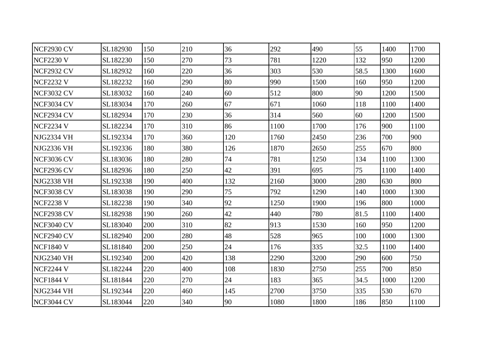| NCF2930 CV        | SL182930 | 150 | 210 | 36  | 292  | 490  | 55   | 1400 | 1700 |
|-------------------|----------|-----|-----|-----|------|------|------|------|------|
| <b>NCF2230 V</b>  | SL182230 | 150 | 270 | 73  | 781  | 1220 | 132  | 950  | 1200 |
| NCF2932 CV        | SL182932 | 160 | 220 | 36  | 303  | 530  | 58.5 | 1300 | 1600 |
| <b>NCF2232 V</b>  | SL182232 | 160 | 290 | 80  | 990  | 1500 | 160  | 950  | 1200 |
| NCF3032 CV        | SL183032 | 160 | 240 | 60  | 512  | 800  | 90   | 1200 | 1500 |
| NCF3034 CV        | SL183034 | 170 | 260 | 67  | 671  | 1060 | 118  | 1100 | 1400 |
| NCF2934 CV        | SL182934 | 170 | 230 | 36  | 314  | 560  | 60   | 1200 | 1500 |
| <b>NCF2234 V</b>  | SL182234 | 170 | 310 | 86  | 1100 | 1700 | 176  | 900  | 1100 |
| NJG2334 VH        | SL192334 | 170 | 360 | 120 | 1760 | 2450 | 236  | 700  | 900  |
| NJG2336 VH        | SL192336 | 180 | 380 | 126 | 1870 | 2650 | 255  | 670  | 800  |
| NCF3036 CV        | SL183036 | 180 | 280 | 74  | 781  | 1250 | 134  | 1100 | 1300 |
| NCF2936 CV        | SL182936 | 180 | 250 | 42  | 391  | 695  | 75   | 1100 | 1400 |
| NJG2338 VH        | SL192338 | 190 | 400 | 132 | 2160 | 3000 | 280  | 630  | 800  |
| <b>NCF3038 CV</b> | SL183038 | 190 | 290 | 75  | 792  | 1290 | 140  | 1000 | 1300 |
| <b>NCF2238 V</b>  | SL182238 | 190 | 340 | 92  | 1250 | 1900 | 196  | 800  | 1000 |
| NCF2938 CV        | SL182938 | 190 | 260 | 42  | 440  | 780  | 81.5 | 1100 | 1400 |
| NCF3040 CV        | SL183040 | 200 | 310 | 82  | 913  | 1530 | 160  | 950  | 1200 |
| NCF2940 CV        | SL182940 | 200 | 280 | 48  | 528  | 965  | 100  | 1000 | 1300 |
| <b>NCF1840 V</b>  | SL181840 | 200 | 250 | 24  | 176  | 335  | 32.5 | 1100 | 1400 |
| NJG2340 VH        | SL192340 | 200 | 420 | 138 | 2290 | 3200 | 290  | 600  | 750  |
| <b>NCF2244 V</b>  | SL182244 | 220 | 400 | 108 | 1830 | 2750 | 255  | 700  | 850  |
| <b>NCF1844 V</b>  | SL181844 | 220 | 270 | 24  | 183  | 365  | 34.5 | 1000 | 1200 |
| NJG2344 VH        | SL192344 | 220 | 460 | 145 | 2700 | 3750 | 335  | 530  | 670  |
| NCF3044 CV        | SL183044 | 220 | 340 | 90  | 1080 | 1800 | 186  | 850  | 1100 |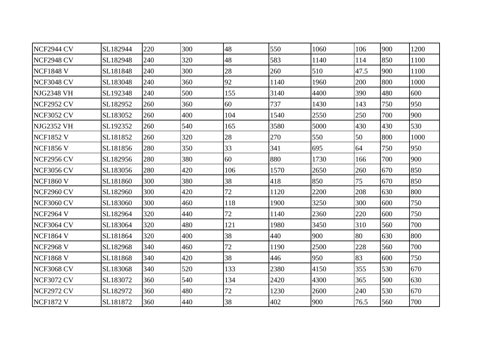| NCF2944 CV        | SL182944 | 220 | 300 | 48  | 550  | 1060 | 106  | 900 | 1200 |
|-------------------|----------|-----|-----|-----|------|------|------|-----|------|
| NCF2948 CV        | SL182948 | 240 | 320 | 48  | 583  | 1140 | 114  | 850 | 1100 |
| <b>NCF1848 V</b>  | SL181848 | 240 | 300 | 28  | 260  | 510  | 47.5 | 900 | 1100 |
| NCF3048 CV        | SL183048 | 240 | 360 | 92  | 1140 | 1960 | 200  | 800 | 1000 |
| NJG2348 VH        | SL192348 | 240 | 500 | 155 | 3140 | 4400 | 390  | 480 | 600  |
| <b>NCF2952 CV</b> | SL182952 | 260 | 360 | 60  | 737  | 1430 | 143  | 750 | 950  |
| NCF3052 CV        | SL183052 | 260 | 400 | 104 | 1540 | 2550 | 250  | 700 | 900  |
| NJG2352 VH        | SL192352 | 260 | 540 | 165 | 3580 | 5000 | 430  | 430 | 530  |
| <b>NCF1852 V</b>  | SL181852 | 260 | 320 | 28  | 270  | 550  | 50   | 800 | 1000 |
| <b>NCF1856 V</b>  | SL181856 | 280 | 350 | 33  | 341  | 695  | 64   | 750 | 950  |
| <b>NCF2956 CV</b> | SL182956 | 280 | 380 | 60  | 880  | 1730 | 166  | 700 | 900  |
| <b>NCF3056 CV</b> | SL183056 | 280 | 420 | 106 | 1570 | 2650 | 260  | 670 | 850  |
| <b>NCF1860 V</b>  | SL181860 | 300 | 380 | 38  | 418  | 850  | 75   | 670 | 850  |
| NCF2960 CV        | SL182960 | 300 | 420 | 72  | 1120 | 2200 | 208  | 630 | 800  |
| <b>NCF3060 CV</b> | SL183060 | 300 | 460 | 118 | 1900 | 3250 | 300  | 600 | 750  |
| <b>NCF2964 V</b>  | SL182964 | 320 | 440 | 72  | 1140 | 2360 | 220  | 600 | 750  |
| NCF3064 CV        | SL183064 | 320 | 480 | 121 | 1980 | 3450 | 310  | 560 | 700  |
| <b>NCF1864 V</b>  | SL181864 | 320 | 400 | 38  | 440  | 900  | 80   | 630 | 800  |
| <b>NCF2968 V</b>  | SL182968 | 340 | 460 | 72  | 1190 | 2500 | 228  | 560 | 700  |
| <b>NCF1868 V</b>  | SL181868 | 340 | 420 | 38  | 446  | 950  | 83   | 600 | 750  |
| <b>NCF3068 CV</b> | SL183068 | 340 | 520 | 133 | 2380 | 4150 | 355  | 530 | 670  |
| NCF3072 CV        | SL183072 | 360 | 540 | 134 | 2420 | 4300 | 365  | 500 | 630  |
| NCF2972 CV        | SL182972 | 360 | 480 | 72  | 1230 | 2600 | 240  | 530 | 670  |
| <b>NCF1872 V</b>  | SL181872 | 360 | 440 | 38  | 402  | 900  | 76.5 | 560 | 700  |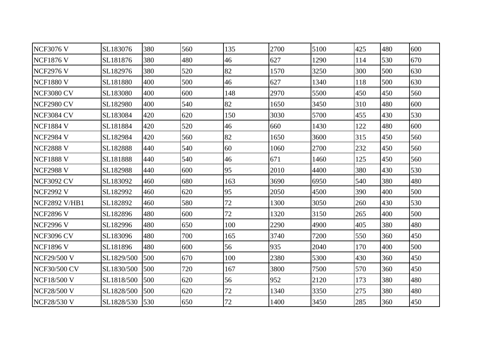| <b>NCF3076 V</b>     | SL183076   | 380 | 560 | 135 | 2700 | 5100 | 425 | 480 | 600 |
|----------------------|------------|-----|-----|-----|------|------|-----|-----|-----|
| <b>NCF1876 V</b>     | SL181876   | 380 | 480 | 46  | 627  | 1290 | 114 | 530 | 670 |
| <b>NCF2976 V</b>     | SL182976   | 380 | 520 | 82  | 1570 | 3250 | 300 | 500 | 630 |
| <b>NCF1880 V</b>     | SL181880   | 400 | 500 | 46  | 627  | 1340 | 118 | 500 | 630 |
| NCF3080 CV           | SL183080   | 400 | 600 | 148 | 2970 | 5500 | 450 | 450 | 560 |
| NCF2980 CV           | SL182980   | 400 | 540 | 82  | 1650 | 3450 | 310 | 480 | 600 |
| NCF3084 CV           | SL183084   | 420 | 620 | 150 | 3030 | 5700 | 455 | 430 | 530 |
| <b>NCF1884 V</b>     | SL181884   | 420 | 520 | 46  | 660  | 1430 | 122 | 480 | 600 |
| <b>NCF2984 V</b>     | SL182984   | 420 | 560 | 82  | 1650 | 3600 | 315 | 450 | 560 |
| <b>NCF2888 V</b>     | SL182888   | 440 | 540 | 60  | 1060 | 2700 | 232 | 450 | 560 |
| <b>NCF1888 V</b>     | SL181888   | 440 | 540 | 46  | 671  | 1460 | 125 | 450 | 560 |
| <b>NCF2988 V</b>     | SL182988   | 440 | 600 | 95  | 2010 | 4400 | 380 | 430 | 530 |
| <b>NCF3092 CV</b>    | SL183092   | 460 | 680 | 163 | 3690 | 6950 | 540 | 380 | 480 |
| <b>NCF2992 V</b>     | SL182992   | 460 | 620 | 95  | 2050 | 4500 | 390 | 400 | 500 |
| <b>NCF2892 V/HB1</b> | SL182892   | 460 | 580 | 72  | 1300 | 3050 | 260 | 430 | 530 |
| <b>NCF2896 V</b>     | SL182896   | 480 | 600 | 72  | 1320 | 3150 | 265 | 400 | 500 |
| <b>NCF2996 V</b>     | SL182996   | 480 | 650 | 100 | 2290 | 4900 | 405 | 380 | 480 |
| <b>NCF3096 CV</b>    | SL183096   | 480 | 700 | 165 | 3740 | 7200 | 550 | 360 | 450 |
| <b>NCF1896 V</b>     | SL181896   | 480 | 600 | 56  | 935  | 2040 | 170 | 400 | 500 |
| <b>NCF29/500 V</b>   | SL1829/500 | 500 | 670 | 100 | 2380 | 5300 | 430 | 360 | 450 |
| <b>NCF30/500 CV</b>  | SL1830/500 | 500 | 720 | 167 | 3800 | 7500 | 570 | 360 | 450 |
| <b>NCF18/500 V</b>   | SL1818/500 | 500 | 620 | 56  | 952  | 2120 | 173 | 380 | 480 |
| <b>NCF28/500 V</b>   | SL1828/500 | 500 | 620 | 72  | 1340 | 3350 | 275 | 380 | 480 |
| <b>NCF28/530 V</b>   | SL1828/530 | 530 | 650 | 72  | 1400 | 3450 | 285 | 360 | 450 |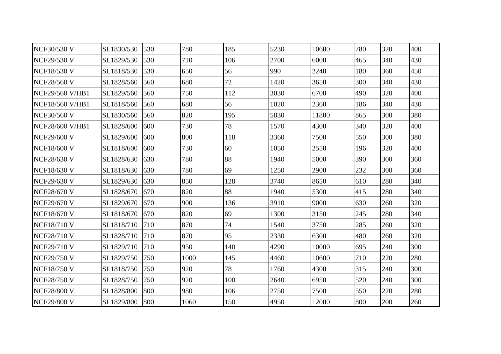| <b>NCF30/530 V</b>     | SL1830/530 | 530 | 780  | 185 | 5230 | 10600 | 780 | 320 | 400 |
|------------------------|------------|-----|------|-----|------|-------|-----|-----|-----|
| <b>NCF29/530 V</b>     | SL1829/530 | 530 | 710  | 106 | 2700 | 6000  | 465 | 340 | 430 |
| <b>NCF18/530 V</b>     | SL1818/530 | 530 | 650  | 56  | 990  | 2240  | 180 | 360 | 450 |
| <b>NCF28/560 V</b>     | SL1828/560 | 560 | 680  | 72  | 1420 | 3650  | 300 | 340 | 430 |
| <b>NCF29/560 V/HB1</b> | SL1829/560 | 560 | 750  | 112 | 3030 | 6700  | 490 | 320 | 400 |
| <b>NCF18/560 V/HB1</b> | SL1818/560 | 560 | 680  | 56  | 1020 | 2360  | 186 | 340 | 430 |
| <b>NCF30/560 V</b>     | SL1830/560 | 560 | 820  | 195 | 5830 | 11800 | 865 | 300 | 380 |
| <b>NCF28/600 V/HB1</b> | SL1828/600 | 600 | 730  | 78  | 1570 | 4300  | 340 | 320 | 400 |
| <b>NCF29/600 V</b>     | SL1829/600 | 600 | 800  | 118 | 3360 | 7500  | 550 | 300 | 380 |
| <b>NCF18/600 V</b>     | SL1818/600 | 600 | 730  | 60  | 1050 | 2550  | 196 | 320 | 400 |
| <b>NCF28/630 V</b>     | SL1828/630 | 630 | 780  | 88  | 1940 | 5000  | 390 | 300 | 360 |
| <b>NCF18/630 V</b>     | SL1818/630 | 630 | 780  | 69  | 1250 | 2900  | 232 | 300 | 360 |
| <b>NCF29/630 V</b>     | SL1829/630 | 630 | 850  | 128 | 3740 | 8650  | 610 | 280 | 340 |
| <b>NCF28/670 V</b>     | SL1828/670 | 670 | 820  | 88  | 1940 | 5300  | 415 | 280 | 340 |
| <b>NCF29/670 V</b>     | SL1829/670 | 670 | 900  | 136 | 3910 | 9000  | 630 | 260 | 320 |
| <b>NCF18/670 V</b>     | SL1818/670 | 670 | 820  | 69  | 1300 | 3150  | 245 | 280 | 340 |
| <b>NCF18/710 V</b>     | SL1818/710 | 710 | 870  | 74  | 1540 | 3750  | 285 | 260 | 320 |
| <b>NCF28/710 V</b>     | SL1828/710 | 710 | 870  | 95  | 2330 | 6300  | 480 | 260 | 320 |
| <b>NCF29/710 V</b>     | SL1829/710 | 710 | 950  | 140 | 4290 | 10000 | 695 | 240 | 300 |
| <b>NCF29/750 V</b>     | SL1829/750 | 750 | 1000 | 145 | 4460 | 10600 | 710 | 220 | 280 |
| <b>NCF18/750 V</b>     | SL1818/750 | 750 | 920  | 78  | 1760 | 4300  | 315 | 240 | 300 |
| <b>NCF28/750 V</b>     | SL1828/750 | 750 | 920  | 100 | 2640 | 6950  | 520 | 240 | 300 |
| <b>NCF28/800 V</b>     | SL1828/800 | 800 | 980  | 106 | 2750 | 7500  | 550 | 220 | 280 |
| <b>NCF29/800 V</b>     | SL1829/800 | 800 | 1060 | 150 | 4950 | 12000 | 800 | 200 | 260 |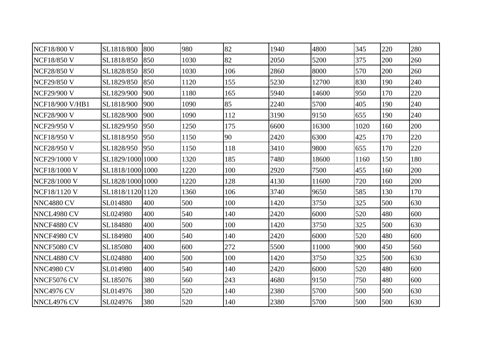| <b>NCF18/800 V</b>     | SL1818/800       | 800 | 980  | 82  | 1940 | 4800  | 345  | 220 | 280 |
|------------------------|------------------|-----|------|-----|------|-------|------|-----|-----|
| <b>NCF18/850 V</b>     | SL1818/850       | 850 | 1030 | 82  | 2050 | 5200  | 375  | 200 | 260 |
| <b>NCF28/850 V</b>     | SL1828/850       | 850 | 1030 | 106 | 2860 | 8000  | 570  | 200 | 260 |
| <b>NCF29/850 V</b>     | SL1829/850       | 850 | 1120 | 155 | 5230 | 12700 | 830  | 190 | 240 |
| <b>NCF29/900 V</b>     | SL1829/900       | 900 | 1180 | 165 | 5940 | 14600 | 950  | 170 | 220 |
| <b>NCF18/900 V/HB1</b> | SL1818/900       | 900 | 1090 | 85  | 2240 | 5700  | 405  | 190 | 240 |
| <b>NCF28/900 V</b>     | SL1828/900       | 900 | 1090 | 112 | 3190 | 9150  | 655  | 190 | 240 |
| <b>NCF29/950 V</b>     | SL1829/950       | 950 | 1250 | 175 | 6600 | 16300 | 1020 | 160 | 200 |
| <b>NCF18/950 V</b>     | SL1818/950       | 950 | 1150 | 90  | 2420 | 6300  | 425  | 170 | 220 |
| <b>NCF28/950 V</b>     | SL1828/950       | 950 | 1150 | 118 | 3410 | 9800  | 655  | 170 | 220 |
| NCF29/1000 V           | SL1829/1000 1000 |     | 1320 | 185 | 7480 | 18600 | 1160 | 150 | 180 |
| <b>NCF18/1000 V</b>    | SL1818/1000 1000 |     | 1220 | 100 | 2920 | 7500  | 455  | 160 | 200 |
| NCF28/1000 V           | SL1828/1000 1000 |     | 1220 | 128 | 4130 | 11600 | 720  | 160 | 200 |
| <b>NCF18/1120 V</b>    | SL1818/112011120 |     | 1360 | 106 | 3740 | 9650  | 585  | 130 | 170 |
| <b>NNC4880 CV</b>      | SL014880         | 400 | 500  | 100 | 1420 | 3750  | 325  | 500 | 630 |
| NNCL4980 CV            | SL024980         | 400 | 540  | 140 | 2420 | 6000  | 520  | 480 | 600 |
| NNCF4880 CV            | SL184880         | 400 | 500  | 100 | 1420 | 3750  | 325  | 500 | 630 |
| NNCF4980 CV            | SL184980         | 400 | 540  | 140 | 2420 | 6000  | 520  | 480 | 600 |
| NNCF5080 CV            | SL185080         | 400 | 600  | 272 | 5500 | 11000 | 900  | 450 | 560 |
| NNCL4880 CV            | SL024880         | 400 | 500  | 100 | 1420 | 3750  | 325  | 500 | 630 |
| <b>NNC4980 CV</b>      | SL014980         | 400 | 540  | 140 | 2420 | 6000  | 520  | 480 | 600 |
| NNCF5076 CV            | SL185076         | 380 | 560  | 243 | 4680 | 9150  | 750  | 480 | 600 |
| <b>NNC4976 CV</b>      | SL014976         | 380 | 520  | 140 | 2380 | 5700  | 500  | 500 | 630 |
| NNCL4976 CV            | SL024976         | 380 | 520  | 140 | 2380 | 5700  | 500  | 500 | 630 |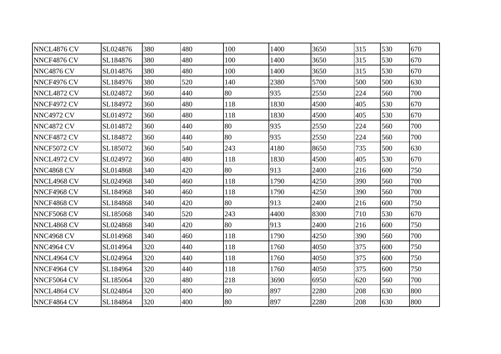| NNCL4876 CV       | SL024876 | 380 | 480 | 100 | 1400 | 3650 | 315 | 530 | 670 |
|-------------------|----------|-----|-----|-----|------|------|-----|-----|-----|
| NNCF4876 CV       | SL184876 | 380 | 480 | 100 | 1400 | 3650 | 315 | 530 | 670 |
| <b>NNC4876 CV</b> | SL014876 | 380 | 480 | 100 | 1400 | 3650 | 315 | 530 | 670 |
| NNCF4976 CV       | SL184976 | 380 | 520 | 140 | 2380 | 5700 | 500 | 500 | 630 |
| NNCL4872 CV       | SL024872 | 360 | 440 | 80  | 935  | 2550 | 224 | 560 | 700 |
| NNCF4972 CV       | SL184972 | 360 | 480 | 118 | 1830 | 4500 | 405 | 530 | 670 |
| NNC4972 CV        | SL014972 | 360 | 480 | 118 | 1830 | 4500 | 405 | 530 | 670 |
| <b>NNC4872 CV</b> | SL014872 | 360 | 440 | 80  | 935  | 2550 | 224 | 560 | 700 |
| NNCF4872 CV       | SL184872 | 360 | 440 | 80  | 935  | 2550 | 224 | 560 | 700 |
| NNCF5072 CV       | SL185072 | 360 | 540 | 243 | 4180 | 8650 | 735 | 500 | 630 |
| NNCL4972 CV       | SL024972 | 360 | 480 | 118 | 1830 | 4500 | 405 | 530 | 670 |
| <b>NNC4868 CV</b> | SL014868 | 340 | 420 | 80  | 913  | 2400 | 216 | 600 | 750 |
| NNCL4968 CV       | SL024968 | 340 | 460 | 118 | 1790 | 4250 | 390 | 560 | 700 |
| NNCF4968 CV       | SL184968 | 340 | 460 | 118 | 1790 | 4250 | 390 | 560 | 700 |
| NNCF4868 CV       | SL184868 | 340 | 420 | 80  | 913  | 2400 | 216 | 600 | 750 |
| NNCF5068 CV       | SL185068 | 340 | 520 | 243 | 4400 | 8300 | 710 | 530 | 670 |
| NNCL4868 CV       | SL024868 | 340 | 420 | 80  | 913  | 2400 | 216 | 600 | 750 |
| <b>NNC4968 CV</b> | SL014968 | 340 | 460 | 118 | 1790 | 4250 | 390 | 560 | 700 |
| NNC4964 CV        | SL014964 | 320 | 440 | 118 | 1760 | 4050 | 375 | 600 | 750 |
| NNCL4964 CV       | SL024964 | 320 | 440 | 118 | 1760 | 4050 | 375 | 600 | 750 |
| NNCF4964 CV       | SL184964 | 320 | 440 | 118 | 1760 | 4050 | 375 | 600 | 750 |
| NNCF5064 CV       | SL185064 | 320 | 480 | 218 | 3690 | 6950 | 620 | 560 | 700 |
| NNCL4864 CV       | SL024864 | 320 | 400 | 80  | 897  | 2280 | 208 | 630 | 800 |
| NNCF4864 CV       | SL184864 | 320 | 400 | 80  | 897  | 2280 | 208 | 630 | 800 |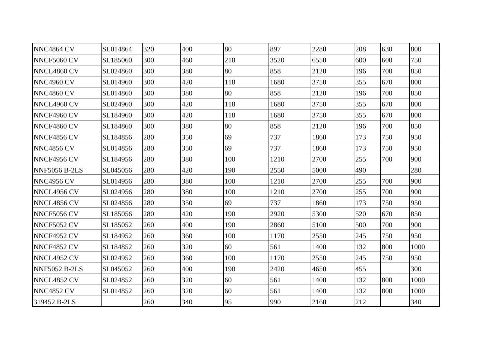| NNC4864 CV           | SL014864 | 320 | 400 | 80  | 897  | 2280 | 208 | 630 | 800  |
|----------------------|----------|-----|-----|-----|------|------|-----|-----|------|
| NNCF5060 CV          | SL185060 | 300 | 460 | 218 | 3520 | 6550 | 600 | 600 | 750  |
| NNCL4860 CV          | SL024860 | 300 | 380 | 80  | 858  | 2120 | 196 | 700 | 850  |
| NNC4960 CV           | SL014960 | 300 | 420 | 118 | 1680 | 3750 | 355 | 670 | 800  |
| NNC4860 CV           | SL014860 | 300 | 380 | 80  | 858  | 2120 | 196 | 700 | 850  |
| NNCL4960 CV          | SL024960 | 300 | 420 | 118 | 1680 | 3750 | 355 | 670 | 800  |
| NNCF4960 CV          | SL184960 | 300 | 420 | 118 | 1680 | 3750 | 355 | 670 | 800  |
| NNCF4860 CV          | SL184860 | 300 | 380 | 80  | 858  | 2120 | 196 | 700 | 850  |
| NNCF4856 CV          | SL184856 | 280 | 350 | 69  | 737  | 1860 | 173 | 750 | 950  |
| NNC4856 CV           | SL014856 | 280 | 350 | 69  | 737  | 1860 | 173 | 750 | 950  |
| NNCF4956 CV          | SL184956 | 280 | 380 | 100 | 1210 | 2700 | 255 | 700 | 900  |
| <b>NNF5056 B-2LS</b> | SL045056 | 280 | 420 | 190 | 2550 | 5000 | 490 |     | 280  |
| <b>NNC4956 CV</b>    | SL014956 | 280 | 380 | 100 | 1210 | 2700 | 255 | 700 | 900  |
| NNCL4956 CV          | SL024956 | 280 | 380 | 100 | 1210 | 2700 | 255 | 700 | 900  |
| NNCL4856 CV          | SL024856 | 280 | 350 | 69  | 737  | 1860 | 173 | 750 | 950  |
| NNCF5056 CV          | SL185056 | 280 | 420 | 190 | 2920 | 5300 | 520 | 670 | 850  |
| NNCF5052 CV          | SL185052 | 260 | 400 | 190 | 2860 | 5100 | 500 | 700 | 900  |
| NNCF4952 CV          | SL184952 | 260 | 360 | 100 | 1170 | 2550 | 245 | 750 | 950  |
| NNCF4852 CV          | SL184852 | 260 | 320 | 60  | 561  | 1400 | 132 | 800 | 1000 |
| NNCL4952 CV          | SL024952 | 260 | 360 | 100 | 1170 | 2550 | 245 | 750 | 950  |
| <b>NNF5052 B-2LS</b> | SL045052 | 260 | 400 | 190 | 2420 | 4650 | 455 |     | 300  |
| NNCL4852 CV          | SL024852 | 260 | 320 | 60  | 561  | 1400 | 132 | 800 | 1000 |
| NNC4852 CV           | SL014852 | 260 | 320 | 60  | 561  | 1400 | 132 | 800 | 1000 |
| 319452 B-2LS         |          | 260 | 340 | 95  | 990  | 2160 | 212 |     | 340  |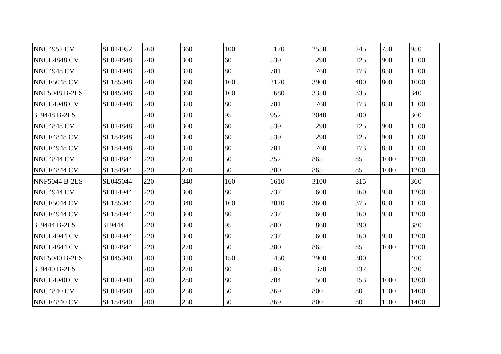| NNC4952 CV           | SL014952 | 260 | 360 | 100 | 1170 | 2550 | 245 | 750  | 950  |
|----------------------|----------|-----|-----|-----|------|------|-----|------|------|
| NNCL4848 CV          | SL024848 | 240 | 300 | 60  | 539  | 1290 | 125 | 900  | 1100 |
| <b>NNC4948 CV</b>    | SL014948 | 240 | 320 | 80  | 781  | 1760 | 173 | 850  | 1100 |
| <b>NNCF5048 CV</b>   | SL185048 | 240 | 360 | 160 | 2120 | 3900 | 400 | 800  | 1000 |
| <b>NNF5048 B-2LS</b> | SL045048 | 240 | 360 | 160 | 1680 | 3350 | 335 |      | 340  |
| <b>NNCL4948 CV</b>   | SL024948 | 240 | 320 | 80  | 781  | 1760 | 173 | 850  | 1100 |
| 319448 B-2LS         |          | 240 | 320 | 95  | 952  | 2040 | 200 |      | 360  |
| NNC4848 CV           | SL014848 | 240 | 300 | 60  | 539  | 1290 | 125 | 900  | 1100 |
| NNCF4848 CV          | SL184848 | 240 | 300 | 60  | 539  | 1290 | 125 | 900  | 1100 |
| NNCF4948 CV          | SL184948 | 240 | 320 | 80  | 781  | 1760 | 173 | 850  | 1100 |
| NNC4844 CV           | SL014844 | 220 | 270 | 50  | 352  | 865  | 85  | 1000 | 1200 |
| NNCF4844 CV          | SL184844 | 220 | 270 | 50  | 380  | 865  | 85  | 1000 | 1200 |
| <b>NNF5044 B-2LS</b> | SL045044 | 220 | 340 | 160 | 1610 | 3100 | 315 |      | 360  |
| NNC4944 CV           | SL014944 | 220 | 300 | 80  | 737  | 1600 | 160 | 950  | 1200 |
| NNCF5044 CV          | SL185044 | 220 | 340 | 160 | 2010 | 3600 | 375 | 850  | 1100 |
| NNCF4944 CV          | SL184944 | 220 | 300 | 80  | 737  | 1600 | 160 | 950  | 1200 |
| 319444 B-2LS         | 319444   | 220 | 300 | 95  | 880  | 1860 | 190 |      | 380  |
| NNCL4944 CV          | SL024944 | 220 | 300 | 80  | 737  | 1600 | 160 | 950  | 1200 |
| NNCL4844 CV          | SL024844 | 220 | 270 | 50  | 380  | 865  | 85  | 1000 | 1200 |
| <b>NNF5040 B-2LS</b> | SL045040 | 200 | 310 | 150 | 1450 | 2900 | 300 |      | 400  |
| 319440 B-2LS         |          | 200 | 270 | 80  | 583  | 1370 | 137 |      | 430  |
| NNCL4940 CV          | SL024940 | 200 | 280 | 80  | 704  | 1500 | 153 | 1000 | 1300 |
| NNC4840 CV           | SL014840 | 200 | 250 | 50  | 369  | 800  | 80  | 1100 | 1400 |
| NNCF4840 CV          | SL184840 | 200 | 250 | 50  | 369  | 800  | 80  | 1100 | 1400 |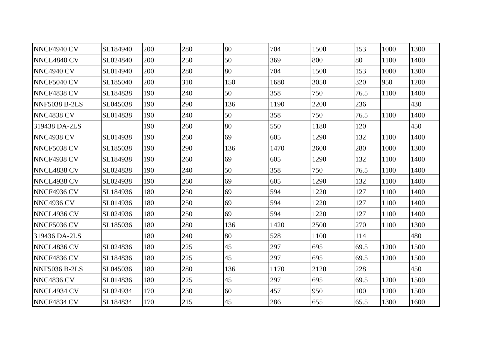| NNCF4940 CV          | SL184940 | 200 | 280 | 80  | 704  | 1500 | 153  | 1000 | 1300 |
|----------------------|----------|-----|-----|-----|------|------|------|------|------|
| NNCL4840 CV          | SL024840 | 200 | 250 | 50  | 369  | 800  | 80   | 1100 | 1400 |
| NNC4940 CV           | SL014940 | 200 | 280 | 80  | 704  | 1500 | 153  | 1000 | 1300 |
| NNCF5040 CV          | SL185040 | 200 | 310 | 150 | 1680 | 3050 | 320  | 950  | 1200 |
| NNCF4838 CV          | SL184838 | 190 | 240 | 50  | 358  | 750  | 76.5 | 1100 | 1400 |
| <b>NNF5038 B-2LS</b> | SL045038 | 190 | 290 | 136 | 1190 | 2200 | 236  |      | 430  |
| NNC4838 CV           | SL014838 | 190 | 240 | 50  | 358  | 750  | 76.5 | 1100 | 1400 |
| 319438 DA-2LS        |          | 190 | 260 | 80  | 550  | 1180 | 120  |      | 450  |
| NNC4938 CV           | SL014938 | 190 | 260 | 69  | 605  | 1290 | 132  | 1100 | 1400 |
| NNCF5038 CV          | SL185038 | 190 | 290 | 136 | 1470 | 2600 | 280  | 1000 | 1300 |
| NNCF4938 CV          | SL184938 | 190 | 260 | 69  | 605  | 1290 | 132  | 1100 | 1400 |
| NNCL4838 CV          | SL024838 | 190 | 240 | 50  | 358  | 750  | 76.5 | 1100 | 1400 |
| NNCL4938 CV          | SL024938 | 190 | 260 | 69  | 605  | 1290 | 132  | 1100 | 1400 |
| NNCF4936 CV          | SL184936 | 180 | 250 | 69  | 594  | 1220 | 127  | 1100 | 1400 |
| NNC4936 CV           | SL014936 | 180 | 250 | 69  | 594  | 1220 | 127  | 1100 | 1400 |
| NNCL4936 CV          | SL024936 | 180 | 250 | 69  | 594  | 1220 | 127  | 1100 | 1400 |
| NNCF5036 CV          | SL185036 | 180 | 280 | 136 | 1420 | 2500 | 270  | 1100 | 1300 |
| 319436 DA-2LS        |          | 180 | 240 | 80  | 528  | 1100 | 114  |      | 480  |
| NNCL4836 CV          | SL024836 | 180 | 225 | 45  | 297  | 695  | 69.5 | 1200 | 1500 |
| NNCF4836 CV          | SL184836 | 180 | 225 | 45  | 297  | 695  | 69.5 | 1200 | 1500 |
| <b>NNF5036 B-2LS</b> | SL045036 | 180 | 280 | 136 | 1170 | 2120 | 228  |      | 450  |
| NNC4836 CV           | SL014836 | 180 | 225 | 45  | 297  | 695  | 69.5 | 1200 | 1500 |
| NNCL4934 CV          | SL024934 | 170 | 230 | 60  | 457  | 950  | 100  | 1200 | 1500 |
| NNCF4834 CV          | SL184834 | 170 | 215 | 45  | 286  | 655  | 65.5 | 1300 | 1600 |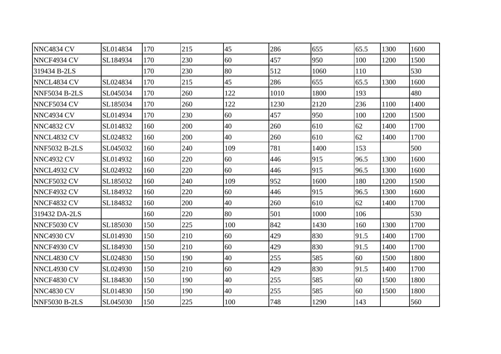| NNC4834 CV           | SL014834 | 170 | 215 | 45  | 286  | 655  | 65.5 | 1300 | 1600 |
|----------------------|----------|-----|-----|-----|------|------|------|------|------|
| <b>NNCF4934 CV</b>   | SL184934 | 170 | 230 | 60  | 457  | 950  | 100  | 1200 | 1500 |
| 319434 B-2LS         |          | 170 | 230 | 80  | 512  | 1060 | 110  |      | 530  |
| NNCL4834 CV          | SL024834 | 170 | 215 | 45  | 286  | 655  | 65.5 | 1300 | 1600 |
| NNF5034 B-2LS        | SL045034 | 170 | 260 | 122 | 1010 | 1800 | 193  |      | 480  |
| NNCF5034 CV          | SL185034 | 170 | 260 | 122 | 1230 | 2120 | 236  | 1100 | 1400 |
| NNC4934 CV           | SL014934 | 170 | 230 | 60  | 457  | 950  | 100  | 1200 | 1500 |
| <b>NNC4832 CV</b>    | SL014832 | 160 | 200 | 40  | 260  | 610  | 62   | 1400 | 1700 |
| NNCL4832 CV          | SL024832 | 160 | 200 | 40  | 260  | 610  | 62   | 1400 | 1700 |
| <b>NNF5032 B-2LS</b> | SL045032 | 160 | 240 | 109 | 781  | 1400 | 153  |      | 500  |
| <b>NNC4932 CV</b>    | SL014932 | 160 | 220 | 60  | 446  | 915  | 96.5 | 1300 | 1600 |
| NNCL4932 CV          | SL024932 | 160 | 220 | 60  | 446  | 915  | 96.5 | 1300 | 1600 |
| NNCF5032 CV          | SL185032 | 160 | 240 | 109 | 952  | 1600 | 180  | 1200 | 1500 |
| NNCF4932 CV          | SL184932 | 160 | 220 | 60  | 446  | 915  | 96.5 | 1300 | 1600 |
| NNCF4832 CV          | SL184832 | 160 | 200 | 40  | 260  | 610  | 62   | 1400 | 1700 |
| 319432 DA-2LS        |          | 160 | 220 | 80  | 501  | 1000 | 106  |      | 530  |
| NNCF5030 CV          | SL185030 | 150 | 225 | 100 | 842  | 1430 | 160  | 1300 | 1700 |
| NNC4930 CV           | SL014930 | 150 | 210 | 60  | 429  | 830  | 91.5 | 1400 | 1700 |
| NNCF4930 CV          | SL184930 | 150 | 210 | 60  | 429  | 830  | 91.5 | 1400 | 1700 |
| NNCL4830 CV          | SL024830 | 150 | 190 | 40  | 255  | 585  | 60   | 1500 | 1800 |
| NNCL4930 CV          | SL024930 | 150 | 210 | 60  | 429  | 830  | 91.5 | 1400 | 1700 |
| NNCF4830 CV          | SL184830 | 150 | 190 | 40  | 255  | 585  | 60   | 1500 | 1800 |
| NNC4830 CV           | SL014830 | 150 | 190 | 40  | 255  | 585  | 60   | 1500 | 1800 |
| <b>NNF5030 B-2LS</b> | SL045030 | 150 | 225 | 100 | 748  | 1290 | 143  |      | 560  |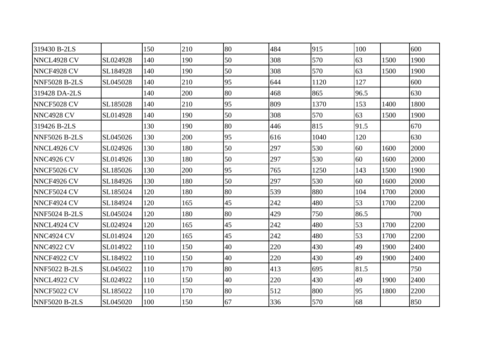| 319430 B-2LS         |          | 150 | 210 | 80 | 484 | 915  | 100  |      | 600  |
|----------------------|----------|-----|-----|----|-----|------|------|------|------|
| NNCL4928 CV          | SL024928 | 140 | 190 | 50 | 308 | 570  | 63   | 1500 | 1900 |
| NNCF4928 CV          | SL184928 | 140 | 190 | 50 | 308 | 570  | 63   | 1500 | 1900 |
| <b>NNF5028 B-2LS</b> | SL045028 | 140 | 210 | 95 | 644 | 1120 | 127  |      | 600  |
| 319428 DA-2LS        |          | 140 | 200 | 80 | 468 | 865  | 96.5 |      | 630  |
| NNCF5028 CV          | SL185028 | 140 | 210 | 95 | 809 | 1370 | 153  | 1400 | 1800 |
| NNC4928 CV           | SL014928 | 140 | 190 | 50 | 308 | 570  | 63   | 1500 | 1900 |
| 319426 B-2LS         |          | 130 | 190 | 80 | 446 | 815  | 91.5 |      | 670  |
| <b>NNF5026 B-2LS</b> | SL045026 | 130 | 200 | 95 | 616 | 1040 | 120  |      | 630  |
| NNCL4926 CV          | SL024926 | 130 | 180 | 50 | 297 | 530  | 60   | 1600 | 2000 |
| <b>NNC4926 CV</b>    | SL014926 | 130 | 180 | 50 | 297 | 530  | 60   | 1600 | 2000 |
| NNCF5026 CV          | SL185026 | 130 | 200 | 95 | 765 | 1250 | 143  | 1500 | 1900 |
| NNCF4926 CV          | SL184926 | 130 | 180 | 50 | 297 | 530  | 60   | 1600 | 2000 |
| NNCF5024 CV          | SL185024 | 120 | 180 | 80 | 539 | 880  | 104  | 1700 | 2000 |
| NNCF4924 CV          | SL184924 | 120 | 165 | 45 | 242 | 480  | 53   | 1700 | 2200 |
| <b>NNF5024 B-2LS</b> | SL045024 | 120 | 180 | 80 | 429 | 750  | 86.5 |      | 700  |
| NNCL4924 CV          | SL024924 | 120 | 165 | 45 | 242 | 480  | 53   | 1700 | 2200 |
| NNC4924 CV           | SL014924 | 120 | 165 | 45 | 242 | 480  | 53   | 1700 | 2200 |
| NNC4922 CV           | SL014922 | 110 | 150 | 40 | 220 | 430  | 49   | 1900 | 2400 |
| NNCF4922 CV          | SL184922 | 110 | 150 | 40 | 220 | 430  | 49   | 1900 | 2400 |
| <b>NNF5022 B-2LS</b> | SL045022 | 110 | 170 | 80 | 413 | 695  | 81.5 |      | 750  |
| NNCL4922 CV          | SL024922 | 110 | 150 | 40 | 220 | 430  | 49   | 1900 | 2400 |
| NNCF5022 CV          | SL185022 | 110 | 170 | 80 | 512 | 800  | 95   | 1800 | 2200 |
| <b>NNF5020 B-2LS</b> | SL045020 | 100 | 150 | 67 | 336 | 570  | 68   |      | 850  |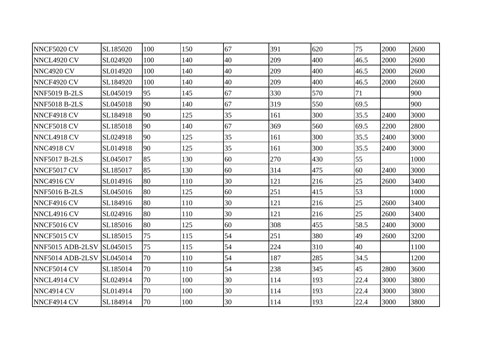| NNCF5020 CV          | SL185020 | 100 | 150 | 67 | 391 | 620 | 75   | 2000 | 2600 |
|----------------------|----------|-----|-----|----|-----|-----|------|------|------|
| NNCL4920 CV          | SL024920 | 100 | 140 | 40 | 209 | 400 | 46.5 | 2000 | 2600 |
| NNC4920 CV           | SL014920 | 100 | 140 | 40 | 209 | 400 | 46.5 | 2000 | 2600 |
| NNCF4920 CV          | SL184920 | 100 | 140 | 40 | 209 | 400 | 46.5 | 2000 | 2600 |
| <b>NNF5019 B-2LS</b> | SL045019 | 95  | 145 | 67 | 330 | 570 | 71   |      | 900  |
| <b>NNF5018 B-2LS</b> | SL045018 | 90  | 140 | 67 | 319 | 550 | 69.5 |      | 900  |
| NNCF4918 CV          | SL184918 | 90  | 125 | 35 | 161 | 300 | 35.5 | 2400 | 3000 |
| NNCF5018 CV          | SL185018 | 90  | 140 | 67 | 369 | 560 | 69.5 | 2200 | 2800 |
| NNCL4918 CV          | SL024918 | 90  | 125 | 35 | 161 | 300 | 35.5 | 2400 | 3000 |
| <b>NNC4918 CV</b>    | SL014918 | 90  | 125 | 35 | 161 | 300 | 35.5 | 2400 | 3000 |
| <b>NNF5017 B-2LS</b> | SL045017 | 85  | 130 | 60 | 270 | 430 | 55   |      | 1000 |
| NNCF5017 CV          | SL185017 | 85  | 130 | 60 | 314 | 475 | 60   | 2400 | 3000 |
| <b>NNC4916 CV</b>    | SL014916 | 80  | 110 | 30 | 121 | 216 | 25   | 2600 | 3400 |
| <b>NNF5016 B-2LS</b> | SL045016 | 80  | 125 | 60 | 251 | 415 | 53   |      | 1000 |
| NNCF4916 CV          | SL184916 | 80  | 110 | 30 | 121 | 216 | 25   | 2600 | 3400 |
| NNCL4916 CV          | SL024916 | 80  | 110 | 30 | 121 | 216 | 25   | 2600 | 3400 |
| NNCF5016 CV          | SL185016 | 80  | 125 | 60 | 308 | 455 | 58.5 | 2400 | 3000 |
| NNCF5015 CV          | SL185015 | 75  | 115 | 54 | 251 | 380 | 49   | 2600 | 3200 |
| NNF5015 ADB-2LSV     | SL045015 | 75  | 115 | 54 | 224 | 310 | 40   |      | 1100 |
| NNF5014 ADB-2LSV     | SL045014 | 70  | 110 | 54 | 187 | 285 | 34.5 |      | 1200 |
| NNCF5014 CV          | SL185014 | 70  | 110 | 54 | 238 | 345 | 45   | 2800 | 3600 |
| NNCL4914 CV          | SL024914 | 70  | 100 | 30 | 114 | 193 | 22.4 | 3000 | 3800 |
| <b>NNC4914 CV</b>    | SL014914 | 70  | 100 | 30 | 114 | 193 | 22.4 | 3000 | 3800 |
| NNCF4914 CV          | SL184914 | 70  | 100 | 30 | 114 | 193 | 22.4 | 3000 | 3800 |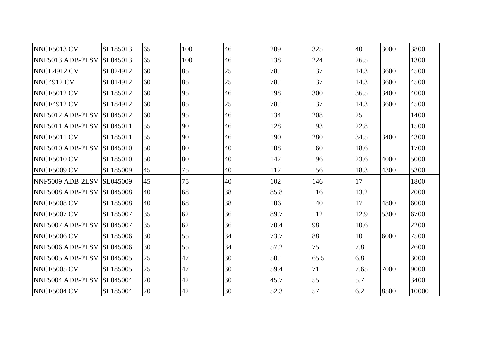| NNCF5013 CV        | SL185013        | 65 | 100 | 46 | 209  | 325  | 40   | 3000 | 3800  |
|--------------------|-----------------|----|-----|----|------|------|------|------|-------|
| NNF5013 ADB-2LSV   | SL045013        | 65 | 100 | 46 | 138  | 224  | 26.5 |      | 1300  |
| NNCL4912 CV        | SL024912        | 60 | 85  | 25 | 78.1 | 137  | 14.3 | 3600 | 4500  |
| <b>NNC4912 CV</b>  | SL014912        | 60 | 85  | 25 | 78.1 | 137  | 14.3 | 3600 | 4500  |
| NNCF5012 CV        | SL185012        | 60 | 95  | 46 | 198  | 300  | 36.5 | 3400 | 4000  |
| NNCF4912 CV        | SL184912        | 60 | 85  | 25 | 78.1 | 137  | 14.3 | 3600 | 4500  |
| NNF5012 ADB-2LSV   | <b>SL045012</b> | 60 | 95  | 46 | 134  | 208  | 25   |      | 1400  |
| NNF5011 ADB-2LSV   | SL045011        | 55 | 90  | 46 | 128  | 193  | 22.8 |      | 1500  |
| NNCF5011 CV        | SL185011        | 55 | 90  | 46 | 190  | 280  | 34.5 | 3400 | 4300  |
| NNF5010 ADB-2LSV   | SL045010        | 50 | 80  | 40 | 108  | 160  | 18.6 |      | 1700  |
| NNCF5010 CV        | SL185010        | 50 | 80  | 40 | 142  | 196  | 23.6 | 4000 | 5000  |
| NNCF5009 CV        | SL185009        | 45 | 75  | 40 | 112  | 156  | 18.3 | 4300 | 5300  |
| NNF5009 ADB-2LSV   | SL045009        | 45 | 75  | 40 | 102  | 146  | 17   |      | 1800  |
| NNF5008 ADB-2LSV   | SL045008        | 40 | 68  | 38 | 85.8 | 116  | 13.2 |      | 2000  |
| <b>NNCF5008 CV</b> | SL185008        | 40 | 68  | 38 | 106  | 140  | 17   | 4800 | 6000  |
| NNCF5007 CV        | SL185007        | 35 | 62  | 36 | 89.7 | 112  | 12.9 | 5300 | 6700  |
| NNF5007 ADB-2LSV   | SL045007        | 35 | 62  | 36 | 70.4 | 98   | 10.6 |      | 2200  |
| NNCF5006 CV        | SL185006        | 30 | 55  | 34 | 73.7 | 88   | 10   | 6000 | 7500  |
| NNF5006 ADB-2LSV   | SL045006        | 30 | 55  | 34 | 57.2 | 75   | 7.8  |      | 2600  |
| NNF5005 ADB-2LSV   | SL045005        | 25 | 47  | 30 | 50.1 | 65.5 | 6.8  |      | 3000  |
| NNCF5005 CV        | SL185005        | 25 | 47  | 30 | 59.4 | 71   | 7.65 | 7000 | 9000  |
| NNF5004 ADB-2LSV   | SL045004        | 20 | 42  | 30 | 45.7 | 55   | 5.7  |      | 3400  |
| NNCF5004 CV        | SL185004        | 20 | 42  | 30 | 52.3 | 57   | 6.2  | 8500 | 10000 |